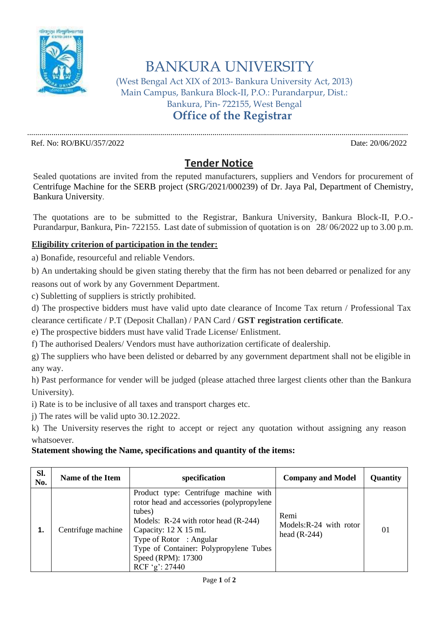

## BANKURA UNIVERSITY

(West Bengal Act XIX of 2013- Bankura University Act, 2013) Main Campus, Bankura Block-II, P.O.: Purandarpur, Dist.: Bankura, Pin- 722155, West Bengal **Office of the Registrar**

.............................................................................................................................................................................................

Ref. No: RO/BKU/357/2022 Date: 20/06/2022

## **Tender Notice**

Sealed quotations are invited from the reputed manufacturers, suppliers and Vendors for procurement of Centrifuge Machine for the SERB project (SRG/2021/000239) of Dr. Jaya Pal, Department of Chemistry, Bankura University.

The quotations are to be submitted to the Registrar, Bankura University, Bankura Block-II, P.O.- Purandarpur, Bankura, Pin- 722155. Last date of submission of quotation is on 28/ 06/2022 up to 3.00 p.m.

## **Eligibility criterion of participation in the tender:**

a) Bonafide, resourceful and reliable Vendors.

b) An undertaking should be given stating thereby that the firm has not been debarred or penalized for any

reasons out of work by any Government Department.

c) Subletting of suppliers is strictly prohibited.

d) The prospective bidders must have valid upto date clearance of Income Tax return / Professional Tax clearance certificate / P.T (Deposit Challan) / PAN Card / **GST registration certificate**.

e) The prospective bidders must have valid Trade License/ Enlistment.

f) The authorised Dealers/ Vendors must have authorization certificate of dealership.

g) The suppliers who have been delisted or debarred by any government department shall not be eligible in any way.

h) Past performance for vender will be judged (please attached three largest clients other than the Bankura University).

i) Rate is to be inclusive of all taxes and transport charges etc.

j) The rates will be valid upto 30.12.2022.

k) The University reserves the right to accept or reject any quotation without assigning any reason whatsoever.

## **Statement showing the Name, specifications and quantity of the items:**

| Sl.<br>No. | Name of the Item   | specification                                                                                                                                                                                                                                                               | <b>Company and Model</b>                         | <b>Quantity</b> |
|------------|--------------------|-----------------------------------------------------------------------------------------------------------------------------------------------------------------------------------------------------------------------------------------------------------------------------|--------------------------------------------------|-----------------|
| 1.         | Centrifuge machine | Product type: Centrifuge machine with<br>rotor head and accessories (polypropylene<br>tubes)<br>Models: R-24 with rotor head (R-244)<br>Capacity: 12 X 15 mL<br>Type of Rotor : Angular<br>Type of Container: Polypropylene Tubes<br>Speed (RPM): 17300<br>RCF 'g': $27440$ | Remi<br>Models:R-24 with rotor<br>head $(R-244)$ | 01              |